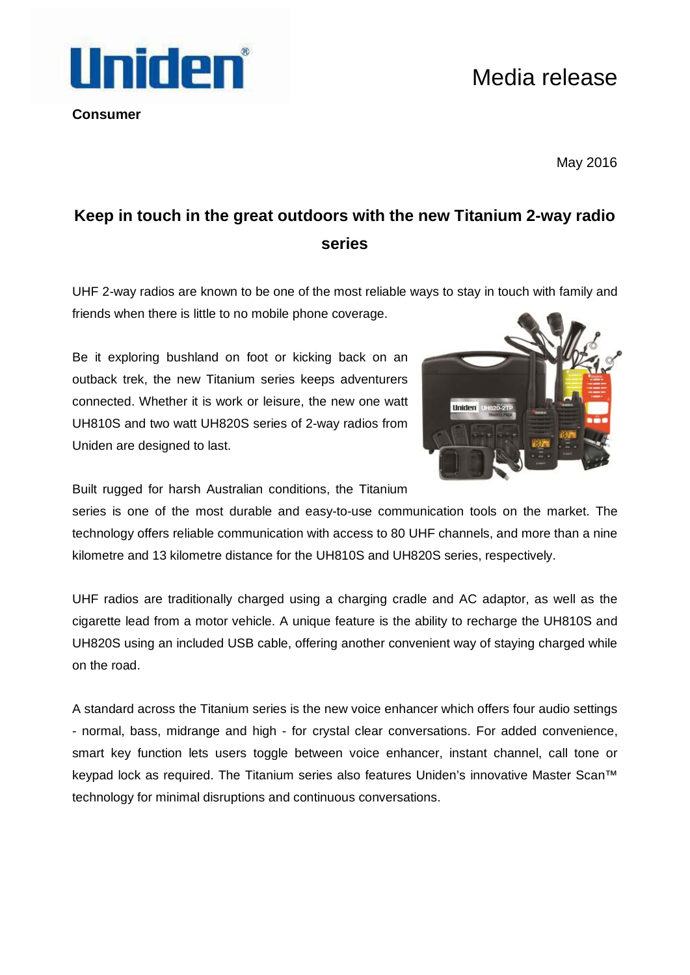## Media release

**Consumer**

Uniden

May 2016

## **Keep in touch in the great outdoors with the new Titanium 2-way radio series**

UHF 2-way radios are known to be one of the most reliable ways to stay in touch with family and friends when there is little to no mobile phone coverage.

Be it exploring bushland on foot or kicking back on an outback trek, the new Titanium series keeps adventurers connected. Whether it is work or leisure, the new one watt UH810S and two watt UH820S series of 2-way radios from Uniden are designed to last.



Built rugged for harsh Australian conditions, the Titanium

series is one of the most durable and easy-to-use communication tools on the market. The technology offers reliable communication with access to 80 UHF channels, and more than a nine kilometre and 13 kilometre distance for the UH810S and UH820S series, respectively.

UHF radios are traditionally charged using a charging cradle and AC adaptor, as well as the cigarette lead from a motor vehicle. A unique feature is the ability to recharge the UH810S and UH820S using an included USB cable, offering another convenient way of staying charged while on the road.

A standard across the Titanium series is the new voice enhancer which offers four audio settings - normal, bass, midrange and high - for crystal clear conversations. For added convenience, smart key function lets users toggle between voice enhancer, instant channel, call tone or keypad lock as required. The Titanium series also features Uniden's innovative Master Scan™ technology for minimal disruptions and continuous conversations.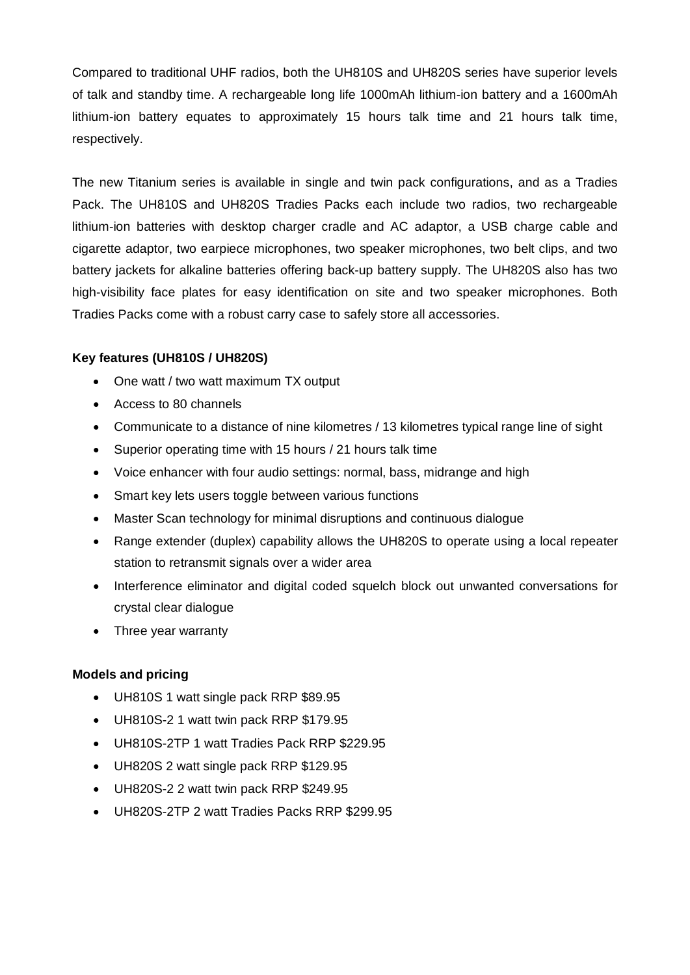Compared to traditional UHF radios, both the UH810S and UH820S series have superior levels of talk and standby time. A rechargeable long life 1000mAh lithium-ion battery and a 1600mAh lithium-ion battery equates to approximately 15 hours talk time and 21 hours talk time, respectively.

The new Titanium series is available in single and twin pack configurations, and as a Tradies Pack. The UH810S and UH820S Tradies Packs each include two radios, two rechargeable lithium-ion batteries with desktop charger cradle and AC adaptor, a USB charge cable and cigarette adaptor, two earpiece microphones, two speaker microphones, two belt clips, and two battery jackets for alkaline batteries offering back-up battery supply. The UH820S also has two high-visibility face plates for easy identification on site and two speaker microphones. Both Tradies Packs come with a robust carry case to safely store all accessories.

## **Key features (UH810S / UH820S)**

- One watt / two watt maximum TX output
- Access to 80 channels
- Communicate to a distance of nine kilometres / 13 kilometres typical range line of sight
- Superior operating time with 15 hours / 21 hours talk time
- Voice enhancer with four audio settings: normal, bass, midrange and high
- Smart key lets users toggle between various functions
- Master Scan technology for minimal disruptions and continuous dialogue
- Range extender (duplex) capability allows the UH820S to operate using a local repeater station to retransmit signals over a wider area
- Interference eliminator and digital coded squelch block out unwanted conversations for crystal clear dialogue
- Three year warranty

## **Models and pricing**

- UH810S 1 watt single pack RRP \$89.95
- UH810S-2 1 watt twin pack RRP \$179.95
- UH810S-2TP 1 watt Tradies Pack RRP \$229.95
- UH820S 2 watt single pack RRP \$129.95
- UH820S-2 2 watt twin pack RRP \$249.95
- UH820S-2TP 2 watt Tradies Packs RRP \$299.95